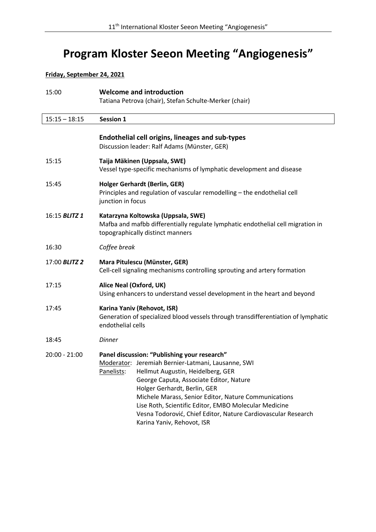# **Program Kloster Seeon Meeting "Angiogenesis"**

## **Friday, September 24, 2021**

| 15:00                | <b>Welcome and introduction</b><br>Tatiana Petrova (chair), Stefan Schulte-Merker (chair)                                                                                                                                                                                                                                                                                                                                                     |
|----------------------|-----------------------------------------------------------------------------------------------------------------------------------------------------------------------------------------------------------------------------------------------------------------------------------------------------------------------------------------------------------------------------------------------------------------------------------------------|
| $15:15 - 18:15$      | <b>Session 1</b>                                                                                                                                                                                                                                                                                                                                                                                                                              |
|                      | <b>Endothelial cell origins, lineages and sub-types</b><br>Discussion leader: Ralf Adams (Münster, GER)                                                                                                                                                                                                                                                                                                                                       |
| 15:15                | Taija Mäkinen (Uppsala, SWE)<br>Vessel type-specific mechanisms of lymphatic development and disease                                                                                                                                                                                                                                                                                                                                          |
| 15:45                | <b>Holger Gerhardt (Berlin, GER)</b><br>Principles and regulation of vascular remodelling - the endothelial cell<br>junction in focus                                                                                                                                                                                                                                                                                                         |
| 16:15 <b>BLITZ 1</b> | Katarzyna Koltowska (Uppsala, SWE)<br>Mafba and mafbb differentially regulate lymphatic endothelial cell migration in<br>topographically distinct manners                                                                                                                                                                                                                                                                                     |
| 16:30                | Coffee break                                                                                                                                                                                                                                                                                                                                                                                                                                  |
| 17:00 BLITZ 2        | Mara Pitulescu (Münster, GER)<br>Cell-cell signaling mechanisms controlling sprouting and artery formation                                                                                                                                                                                                                                                                                                                                    |
| 17:15                | Alice Neal (Oxford, UK)<br>Using enhancers to understand vessel development in the heart and beyond                                                                                                                                                                                                                                                                                                                                           |
| 17:45                | Karina Yaniv (Rehovot, ISR)<br>Generation of specialized blood vessels through transdifferentiation of lymphatic<br>endothelial cells                                                                                                                                                                                                                                                                                                         |
| 18:45                | <b>Dinner</b>                                                                                                                                                                                                                                                                                                                                                                                                                                 |
| $20:00 - 21:00$      | Panel discussion: "Publishing your research"<br>Moderator: Jeremiah Bernier-Latmani, Lausanne, SWI<br>Panelists: Hellmut Augustin, Heidelberg, GER<br>George Caputa, Associate Editor, Nature<br>Holger Gerhardt, Berlin, GER<br>Michele Marass, Senior Editor, Nature Communications<br>Lise Roth, Scientific Editor, EMBO Molecular Medicine<br>Vesna Todorović, Chief Editor, Nature Cardiovascular Research<br>Karina Yaniv, Rehovot, ISR |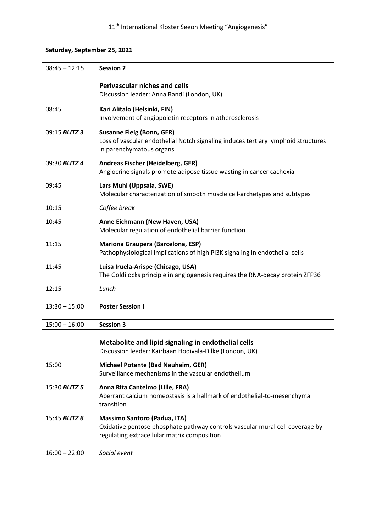### **Saturday, September 25, 2021**

| $08:45 - 12:15$      | <b>Session 2</b>                                                                                                                                                   |
|----------------------|--------------------------------------------------------------------------------------------------------------------------------------------------------------------|
|                      | <b>Perivascular niches and cells</b><br>Discussion leader: Anna Randi (London, UK)                                                                                 |
| 08:45                | Kari Alitalo (Helsinki, FIN)<br>Involvement of angiopoietin receptors in atherosclerosis                                                                           |
| 09:15 BLITZ 3        | <b>Susanne Fleig (Bonn, GER)</b><br>Loss of vascular endothelial Notch signaling induces tertiary lymphoid structures<br>in parenchymatous organs                  |
| 09:30 BLITZ 4        | Andreas Fischer (Heidelberg, GER)<br>Angiocrine signals promote adipose tissue wasting in cancer cachexia                                                          |
| 09:45                | Lars Muhl (Uppsala, SWE)<br>Molecular characterization of smooth muscle cell-archetypes and subtypes                                                               |
| 10:15                | Coffee break                                                                                                                                                       |
| 10:45                | Anne Eichmann (New Haven, USA)<br>Molecular regulation of endothelial barrier function                                                                             |
| 11:15                | <b>Mariona Graupera (Barcelona, ESP)</b><br>Pathophysiological implications of high PI3K signaling in endothelial cells                                            |
| 11:45                | Luisa Iruela-Arispe (Chicago, USA)<br>The Goldilocks principle in angiogenesis requires the RNA-decay protein ZFP36                                                |
| 12:15                | Lunch                                                                                                                                                              |
| $13:30 - 15:00$      | <b>Poster Session I</b>                                                                                                                                            |
| $15:00 - 16:00$      | <b>Session 3</b>                                                                                                                                                   |
|                      | Metabolite and lipid signaling in endothelial cells<br>Discussion leader: Kairbaan Hodivala-Dilke (London, UK)                                                     |
| 15:00                | Michael Potente (Bad Nauheim, GER)<br>Surveillance mechanisms in the vascular endothelium                                                                          |
| 15:30 <b>BLITZ 5</b> | Anna Rita Cantelmo (Lille, FRA)<br>Aberrant calcium homeostasis is a hallmark of endothelial-to-mesenchymal<br>transition                                          |
| 15:45 BLITZ 6        | <b>Massimo Santoro (Padua, ITA)</b><br>Oxidative pentose phosphate pathway controls vascular mural cell coverage by<br>regulating extracellular matrix composition |

16:00 – 22:00 *Social event*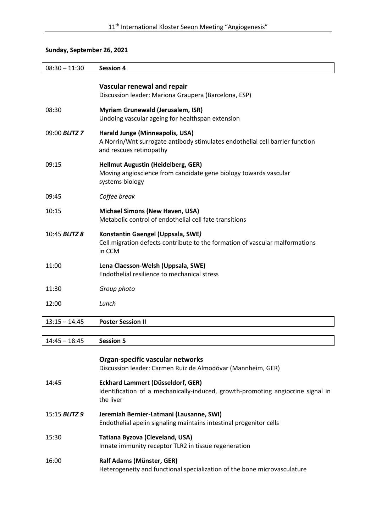## **Sunday, September 26, 2021**

| $08:30 - 11:30$      | <b>Session 4</b>                                                                                                                           |
|----------------------|--------------------------------------------------------------------------------------------------------------------------------------------|
|                      | Vascular renewal and repair                                                                                                                |
|                      | Discussion leader: Mariona Graupera (Barcelona, ESP)                                                                                       |
| 08:30                | <b>Myriam Grunewald (Jerusalem, ISR)</b><br>Undoing vascular ageing for healthspan extension                                               |
| 09:00 BLITZ 7        | Harald Junge (Minneapolis, USA)<br>A Norrin/Wnt surrogate antibody stimulates endothelial cell barrier function<br>and rescues retinopathy |
| 09:15                | <b>Hellmut Augustin (Heidelberg, GER)</b><br>Moving angioscience from candidate gene biology towards vascular<br>systems biology           |
| 09:45                | Coffee break                                                                                                                               |
| 10:15                | <b>Michael Simons (New Haven, USA)</b><br>Metabolic control of endothelial cell fate transitions                                           |
| 10:45 <b>BLITZ 8</b> | Konstantin Gaengel (Uppsala, SWE)<br>Cell migration defects contribute to the formation of vascular malformations<br>in CCM                |
| 11:00                | Lena Claesson-Welsh (Uppsala, SWE)<br>Endothelial resilience to mechanical stress                                                          |
| 11:30                | Group photo                                                                                                                                |
| 12:00                | Lunch                                                                                                                                      |
| $13:15 - 14:45$      | <b>Poster Session II</b>                                                                                                                   |
|                      |                                                                                                                                            |

14:45 – 18:45 **Session 5**

|                      | Organ-specific vascular networks<br>Discussion leader: Carmen Ruiz de Almodóvar (Mannheim, GER)                                   |
|----------------------|-----------------------------------------------------------------------------------------------------------------------------------|
| 14:45                | Eckhard Lammert (Düsseldorf, GER)<br>Identification of a mechanically-induced, growth-promoting angiocrine signal in<br>the liver |
| 15:15 <b>BLITZ 9</b> | Jeremiah Bernier-Latmani (Lausanne, SWI)<br>Endothelial apelin signaling maintains intestinal progenitor cells                    |
| 15:30                | Tatiana Byzova (Cleveland, USA)<br>Innate immunity receptor TLR2 in tissue regeneration                                           |
| 16:00                | Ralf Adams (Münster, GER)<br>Heterogeneity and functional specialization of the bone microvasculature                             |